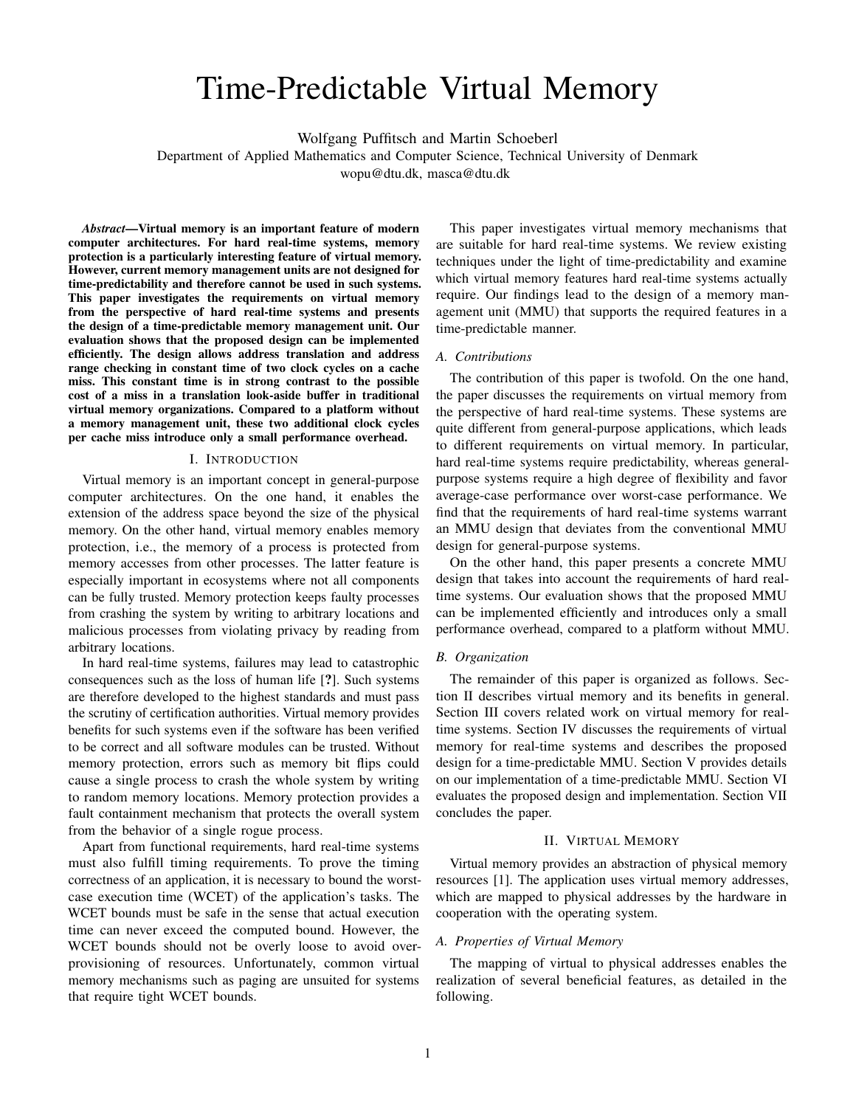# Time-Predictable Virtual Memory

Wolfgang Puffitsch and Martin Schoeberl

Department of Applied Mathematics and Computer Science, Technical University of Denmark

wopu@dtu.dk, masca@dtu.dk

*Abstract*—Virtual memory is an important feature of modern computer architectures. For hard real-time systems, memory protection is a particularly interesting feature of virtual memory. However, current memory management units are not designed for time-predictability and therefore cannot be used in such systems. This paper investigates the requirements on virtual memory from the perspective of hard real-time systems and presents the design of a time-predictable memory management unit. Our evaluation shows that the proposed design can be implemented efficiently. The design allows address translation and address range checking in constant time of two clock cycles on a cache miss. This constant time is in strong contrast to the possible cost of a miss in a translation look-aside buffer in traditional virtual memory organizations. Compared to a platform without a memory management unit, these two additional clock cycles per cache miss introduce only a small performance overhead.

## I. INTRODUCTION

Virtual memory is an important concept in general-purpose computer architectures. On the one hand, it enables the extension of the address space beyond the size of the physical memory. On the other hand, virtual memory enables memory protection, i.e., the memory of a process is protected from memory accesses from other processes. The latter feature is especially important in ecosystems where not all components can be fully trusted. Memory protection keeps faulty processes from crashing the system by writing to arbitrary locations and malicious processes from violating privacy by reading from arbitrary locations.

In hard real-time systems, failures may lead to catastrophic consequences such as the loss of human life [?]. Such systems are therefore developed to the highest standards and must pass the scrutiny of certification authorities. Virtual memory provides benefits for such systems even if the software has been verified to be correct and all software modules can be trusted. Without memory protection, errors such as memory bit flips could cause a single process to crash the whole system by writing to random memory locations. Memory protection provides a fault containment mechanism that protects the overall system from the behavior of a single rogue process.

Apart from functional requirements, hard real-time systems must also fulfill timing requirements. To prove the timing correctness of an application, it is necessary to bound the worstcase execution time (WCET) of the application's tasks. The WCET bounds must be safe in the sense that actual execution time can never exceed the computed bound. However, the WCET bounds should not be overly loose to avoid overprovisioning of resources. Unfortunately, common virtual memory mechanisms such as paging are unsuited for systems that require tight WCET bounds.

This paper investigates virtual memory mechanisms that are suitable for hard real-time systems. We review existing techniques under the light of time-predictability and examine which virtual memory features hard real-time systems actually require. Our findings lead to the design of a memory management unit (MMU) that supports the required features in a time-predictable manner.

## *A. Contributions*

The contribution of this paper is twofold. On the one hand, the paper discusses the requirements on virtual memory from the perspective of hard real-time systems. These systems are quite different from general-purpose applications, which leads to different requirements on virtual memory. In particular, hard real-time systems require predictability, whereas generalpurpose systems require a high degree of flexibility and favor average-case performance over worst-case performance. We find that the requirements of hard real-time systems warrant an MMU design that deviates from the conventional MMU design for general-purpose systems.

On the other hand, this paper presents a concrete MMU design that takes into account the requirements of hard realtime systems. Our evaluation shows that the proposed MMU can be implemented efficiently and introduces only a small performance overhead, compared to a platform without MMU.

### *B. Organization*

The remainder of this paper is organized as follows. Section II describes virtual memory and its benefits in general. Section III covers related work on virtual memory for realtime systems. Section IV discusses the requirements of virtual memory for real-time systems and describes the proposed design for a time-predictable MMU. Section V provides details on our implementation of a time-predictable MMU. Section VI evaluates the proposed design and implementation. Section VII concludes the paper.

## II. VIRTUAL MEMORY

Virtual memory provides an abstraction of physical memory resources [1]. The application uses virtual memory addresses, which are mapped to physical addresses by the hardware in cooperation with the operating system.

## *A. Properties of Virtual Memory*

The mapping of virtual to physical addresses enables the realization of several beneficial features, as detailed in the following.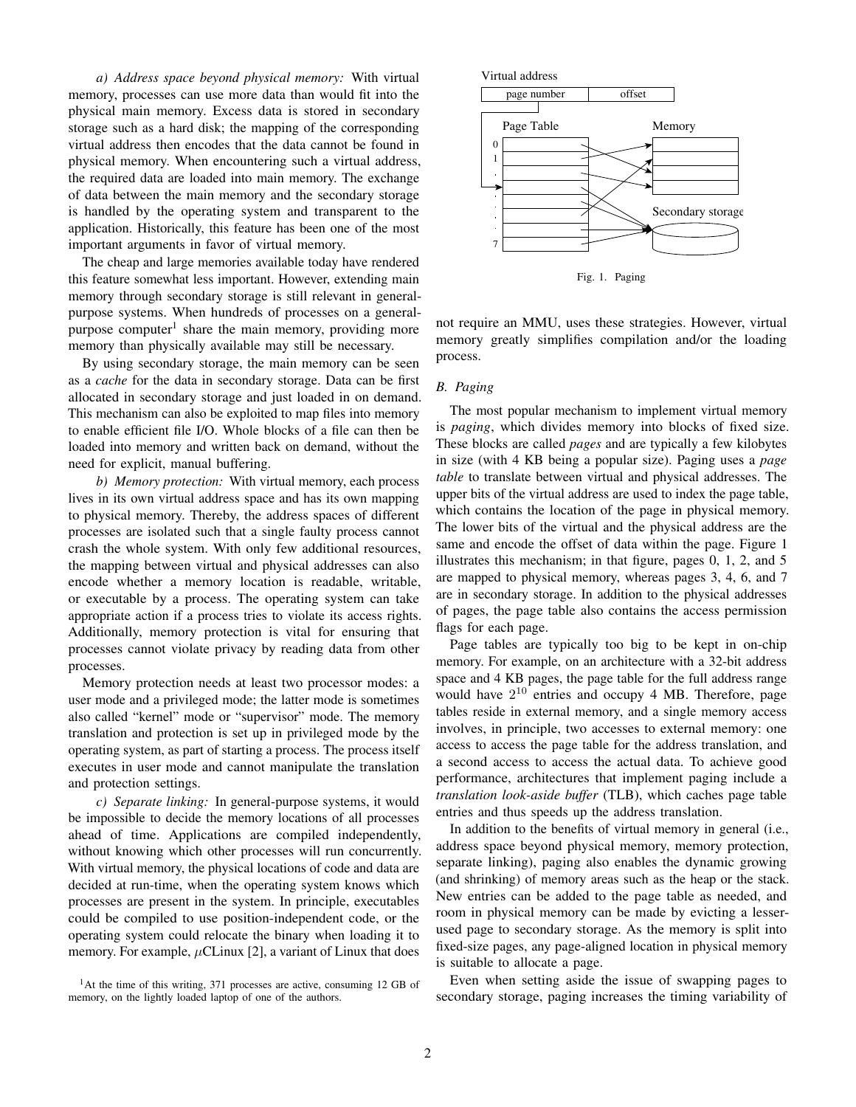*a) Address space beyond physical memory:* With virtual memory, processes can use more data than would fit into the physical main memory. Excess data is stored in secondary storage such as a hard disk; the mapping of the corresponding virtual address then encodes that the data cannot be found in physical memory. When encountering such a virtual address, the required data are loaded into main memory. The exchange of data between the main memory and the secondary storage is handled by the operating system and transparent to the application. Historically, this feature has been one of the most important arguments in favor of virtual memory.

The cheap and large memories available today have rendered this feature somewhat less important. However, extending main memory through secondary storage is still relevant in generalpurpose systems. When hundreds of processes on a generalpurpose computer<sup>1</sup> share the main memory, providing more memory than physically available may still be necessary.

By using secondary storage, the main memory can be seen as a *cache* for the data in secondary storage. Data can be first allocated in secondary storage and just loaded in on demand. This mechanism can also be exploited to map files into memory to enable efficient file I/O. Whole blocks of a file can then be loaded into memory and written back on demand, without the need for explicit, manual buffering.

*b) Memory protection:* With virtual memory, each process lives in its own virtual address space and has its own mapping to physical memory. Thereby, the address spaces of different processes are isolated such that a single faulty process cannot crash the whole system. With only few additional resources, the mapping between virtual and physical addresses can also encode whether a memory location is readable, writable, or executable by a process. The operating system can take appropriate action if a process tries to violate its access rights. Additionally, memory protection is vital for ensuring that processes cannot violate privacy by reading data from other processes.

Memory protection needs at least two processor modes: a user mode and a privileged mode; the latter mode is sometimes also called "kernel" mode or "supervisor" mode. The memory translation and protection is set up in privileged mode by the operating system, as part of starting a process. The process itself executes in user mode and cannot manipulate the translation and protection settings.

*c) Separate linking:* In general-purpose systems, it would be impossible to decide the memory locations of all processes ahead of time. Applications are compiled independently, without knowing which other processes will run concurrently. With virtual memory, the physical locations of code and data are decided at run-time, when the operating system knows which processes are present in the system. In principle, executables could be compiled to use position-independent code, or the operating system could relocate the binary when loading it to memory. For example,  $\mu$ CLinux [2], a variant of Linux that does

<sup>1</sup>At the time of this writing, 371 processes are active, consuming 12 GB of memory, on the lightly loaded laptop of one of the authors.



not require an MMU, uses these strategies. However, virtual memory greatly simplifies compilation and/or the loading

## *B. Paging*

process.

The most popular mechanism to implement virtual memory is *paging*, which divides memory into blocks of fixed size. These blocks are called *pages* and are typically a few kilobytes in size (with 4 KB being a popular size). Paging uses a *page table* to translate between virtual and physical addresses. The upper bits of the virtual address are used to index the page table, which contains the location of the page in physical memory. The lower bits of the virtual and the physical address are the same and encode the offset of data within the page. Figure 1 illustrates this mechanism; in that figure, pages 0, 1, 2, and 5 are mapped to physical memory, whereas pages 3, 4, 6, and 7 are in secondary storage. In addition to the physical addresses of pages, the page table also contains the access permission flags for each page.

Page tables are typically too big to be kept in on-chip memory. For example, on an architecture with a 32-bit address space and 4 KB pages, the page table for the full address range would have  $2^{10}$  entries and occupy 4 MB. Therefore, page tables reside in external memory, and a single memory access involves, in principle, two accesses to external memory: one access to access the page table for the address translation, and a second access to access the actual data. To achieve good performance, architectures that implement paging include a *translation look-aside buffer* (TLB), which caches page table entries and thus speeds up the address translation.

In addition to the benefits of virtual memory in general (i.e., address space beyond physical memory, memory protection, separate linking), paging also enables the dynamic growing (and shrinking) of memory areas such as the heap or the stack. New entries can be added to the page table as needed, and room in physical memory can be made by evicting a lesserused page to secondary storage. As the memory is split into fixed-size pages, any page-aligned location in physical memory is suitable to allocate a page.

Even when setting aside the issue of swapping pages to secondary storage, paging increases the timing variability of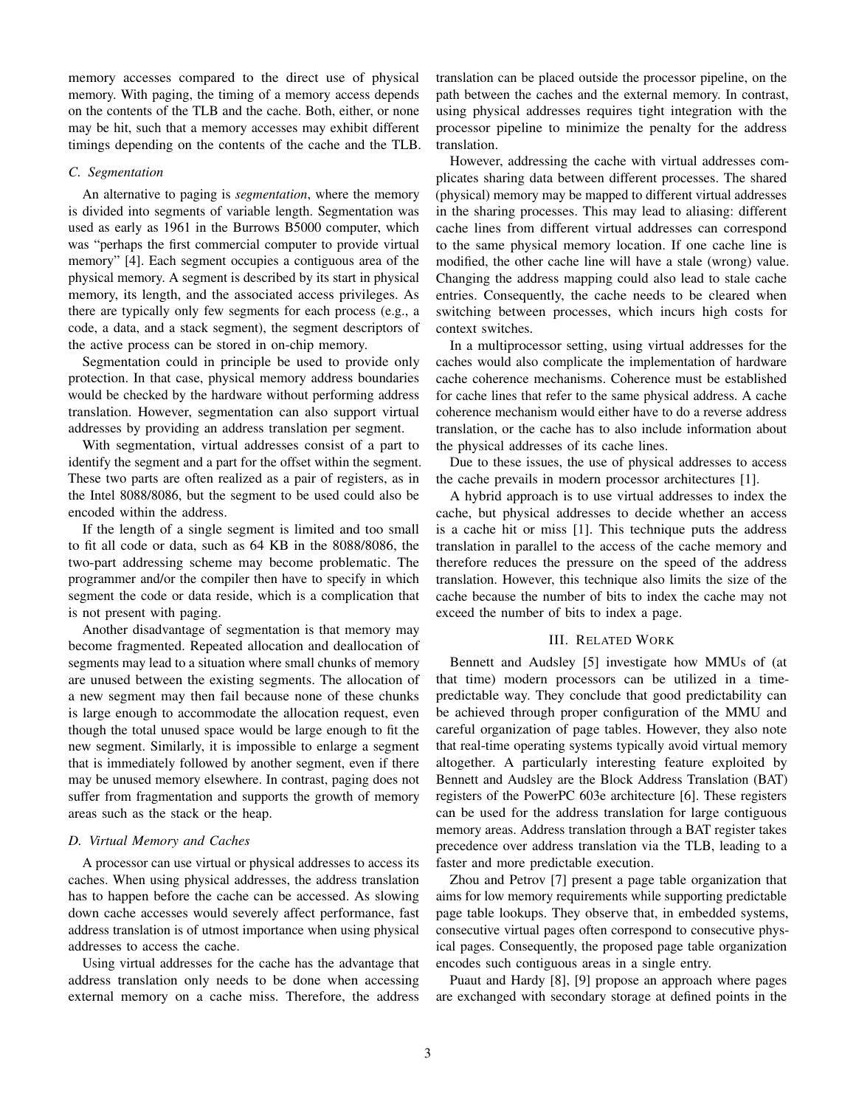memory accesses compared to the direct use of physical memory. With paging, the timing of a memory access depends on the contents of the TLB and the cache. Both, either, or none may be hit, such that a memory accesses may exhibit different timings depending on the contents of the cache and the TLB.

## *C. Segmentation*

An alternative to paging is *segmentation*, where the memory is divided into segments of variable length. Segmentation was used as early as 1961 in the Burrows B5000 computer, which was "perhaps the first commercial computer to provide virtual memory" [4]. Each segment occupies a contiguous area of the physical memory. A segment is described by its start in physical memory, its length, and the associated access privileges. As there are typically only few segments for each process (e.g., a code, a data, and a stack segment), the segment descriptors of the active process can be stored in on-chip memory.

Segmentation could in principle be used to provide only protection. In that case, physical memory address boundaries would be checked by the hardware without performing address translation. However, segmentation can also support virtual addresses by providing an address translation per segment.

With segmentation, virtual addresses consist of a part to identify the segment and a part for the offset within the segment. These two parts are often realized as a pair of registers, as in the Intel 8088/8086, but the segment to be used could also be encoded within the address.

If the length of a single segment is limited and too small to fit all code or data, such as 64 KB in the 8088/8086, the two-part addressing scheme may become problematic. The programmer and/or the compiler then have to specify in which segment the code or data reside, which is a complication that is not present with paging.

Another disadvantage of segmentation is that memory may become fragmented. Repeated allocation and deallocation of segments may lead to a situation where small chunks of memory are unused between the existing segments. The allocation of a new segment may then fail because none of these chunks is large enough to accommodate the allocation request, even though the total unused space would be large enough to fit the new segment. Similarly, it is impossible to enlarge a segment that is immediately followed by another segment, even if there may be unused memory elsewhere. In contrast, paging does not suffer from fragmentation and supports the growth of memory areas such as the stack or the heap.

#### *D. Virtual Memory and Caches*

A processor can use virtual or physical addresses to access its caches. When using physical addresses, the address translation has to happen before the cache can be accessed. As slowing down cache accesses would severely affect performance, fast address translation is of utmost importance when using physical addresses to access the cache.

Using virtual addresses for the cache has the advantage that address translation only needs to be done when accessing external memory on a cache miss. Therefore, the address translation can be placed outside the processor pipeline, on the path between the caches and the external memory. In contrast, using physical addresses requires tight integration with the processor pipeline to minimize the penalty for the address translation.

However, addressing the cache with virtual addresses complicates sharing data between different processes. The shared (physical) memory may be mapped to different virtual addresses in the sharing processes. This may lead to aliasing: different cache lines from different virtual addresses can correspond to the same physical memory location. If one cache line is modified, the other cache line will have a stale (wrong) value. Changing the address mapping could also lead to stale cache entries. Consequently, the cache needs to be cleared when switching between processes, which incurs high costs for context switches.

In a multiprocessor setting, using virtual addresses for the caches would also complicate the implementation of hardware cache coherence mechanisms. Coherence must be established for cache lines that refer to the same physical address. A cache coherence mechanism would either have to do a reverse address translation, or the cache has to also include information about the physical addresses of its cache lines.

Due to these issues, the use of physical addresses to access the cache prevails in modern processor architectures [1].

A hybrid approach is to use virtual addresses to index the cache, but physical addresses to decide whether an access is a cache hit or miss [1]. This technique puts the address translation in parallel to the access of the cache memory and therefore reduces the pressure on the speed of the address translation. However, this technique also limits the size of the cache because the number of bits to index the cache may not exceed the number of bits to index a page.

### III. RELATED WORK

Bennett and Audsley [5] investigate how MMUs of (at that time) modern processors can be utilized in a timepredictable way. They conclude that good predictability can be achieved through proper configuration of the MMU and careful organization of page tables. However, they also note that real-time operating systems typically avoid virtual memory altogether. A particularly interesting feature exploited by Bennett and Audsley are the Block Address Translation (BAT) registers of the PowerPC 603e architecture [6]. These registers can be used for the address translation for large contiguous memory areas. Address translation through a BAT register takes precedence over address translation via the TLB, leading to a faster and more predictable execution.

Zhou and Petrov [7] present a page table organization that aims for low memory requirements while supporting predictable page table lookups. They observe that, in embedded systems, consecutive virtual pages often correspond to consecutive physical pages. Consequently, the proposed page table organization encodes such contiguous areas in a single entry.

Puaut and Hardy [8], [9] propose an approach where pages are exchanged with secondary storage at defined points in the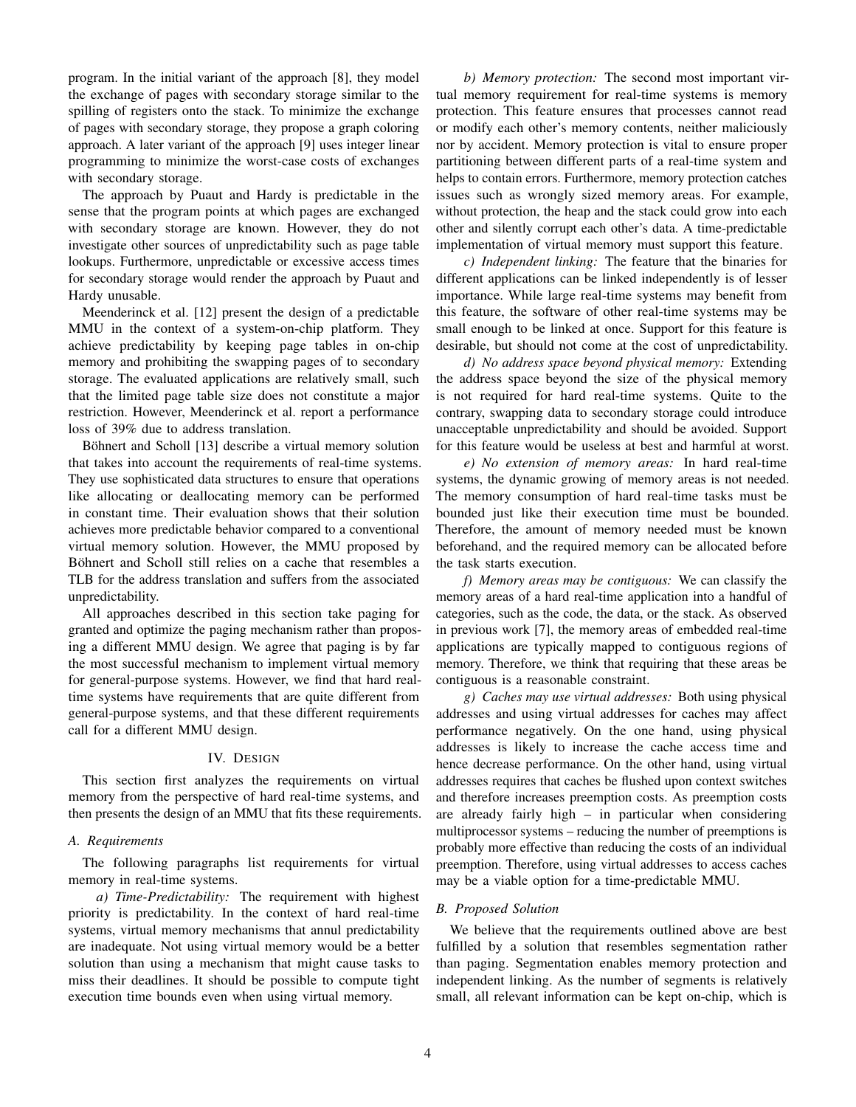program. In the initial variant of the approach [8], they model the exchange of pages with secondary storage similar to the spilling of registers onto the stack. To minimize the exchange of pages with secondary storage, they propose a graph coloring approach. A later variant of the approach [9] uses integer linear programming to minimize the worst-case costs of exchanges with secondary storage.

The approach by Puaut and Hardy is predictable in the sense that the program points at which pages are exchanged with secondary storage are known. However, they do not investigate other sources of unpredictability such as page table lookups. Furthermore, unpredictable or excessive access times for secondary storage would render the approach by Puaut and Hardy unusable.

Meenderinck et al. [12] present the design of a predictable MMU in the context of a system-on-chip platform. They achieve predictability by keeping page tables in on-chip memory and prohibiting the swapping pages of to secondary storage. The evaluated applications are relatively small, such that the limited page table size does not constitute a major restriction. However, Meenderinck et al. report a performance loss of 39% due to address translation.

Böhnert and Scholl [13] describe a virtual memory solution that takes into account the requirements of real-time systems. They use sophisticated data structures to ensure that operations like allocating or deallocating memory can be performed in constant time. Their evaluation shows that their solution achieves more predictable behavior compared to a conventional virtual memory solution. However, the MMU proposed by Böhnert and Scholl still relies on a cache that resembles a TLB for the address translation and suffers from the associated unpredictability.

All approaches described in this section take paging for granted and optimize the paging mechanism rather than proposing a different MMU design. We agree that paging is by far the most successful mechanism to implement virtual memory for general-purpose systems. However, we find that hard realtime systems have requirements that are quite different from general-purpose systems, and that these different requirements call for a different MMU design.

#### IV. DESIGN

This section first analyzes the requirements on virtual memory from the perspective of hard real-time systems, and then presents the design of an MMU that fits these requirements.

## *A. Requirements*

The following paragraphs list requirements for virtual memory in real-time systems.

*a) Time-Predictability:* The requirement with highest priority is predictability. In the context of hard real-time systems, virtual memory mechanisms that annul predictability are inadequate. Not using virtual memory would be a better solution than using a mechanism that might cause tasks to miss their deadlines. It should be possible to compute tight execution time bounds even when using virtual memory.

*b) Memory protection:* The second most important virtual memory requirement for real-time systems is memory protection. This feature ensures that processes cannot read or modify each other's memory contents, neither maliciously nor by accident. Memory protection is vital to ensure proper partitioning between different parts of a real-time system and helps to contain errors. Furthermore, memory protection catches issues such as wrongly sized memory areas. For example, without protection, the heap and the stack could grow into each other and silently corrupt each other's data. A time-predictable implementation of virtual memory must support this feature.

*c) Independent linking:* The feature that the binaries for different applications can be linked independently is of lesser importance. While large real-time systems may benefit from this feature, the software of other real-time systems may be small enough to be linked at once. Support for this feature is desirable, but should not come at the cost of unpredictability.

*d) No address space beyond physical memory:* Extending the address space beyond the size of the physical memory is not required for hard real-time systems. Quite to the contrary, swapping data to secondary storage could introduce unacceptable unpredictability and should be avoided. Support for this feature would be useless at best and harmful at worst.

*e) No extension of memory areas:* In hard real-time systems, the dynamic growing of memory areas is not needed. The memory consumption of hard real-time tasks must be bounded just like their execution time must be bounded. Therefore, the amount of memory needed must be known beforehand, and the required memory can be allocated before the task starts execution.

*f) Memory areas may be contiguous:* We can classify the memory areas of a hard real-time application into a handful of categories, such as the code, the data, or the stack. As observed in previous work [7], the memory areas of embedded real-time applications are typically mapped to contiguous regions of memory. Therefore, we think that requiring that these areas be contiguous is a reasonable constraint.

*g) Caches may use virtual addresses:* Both using physical addresses and using virtual addresses for caches may affect performance negatively. On the one hand, using physical addresses is likely to increase the cache access time and hence decrease performance. On the other hand, using virtual addresses requires that caches be flushed upon context switches and therefore increases preemption costs. As preemption costs are already fairly high – in particular when considering multiprocessor systems – reducing the number of preemptions is probably more effective than reducing the costs of an individual preemption. Therefore, using virtual addresses to access caches may be a viable option for a time-predictable MMU.

## *B. Proposed Solution*

We believe that the requirements outlined above are best fulfilled by a solution that resembles segmentation rather than paging. Segmentation enables memory protection and independent linking. As the number of segments is relatively small, all relevant information can be kept on-chip, which is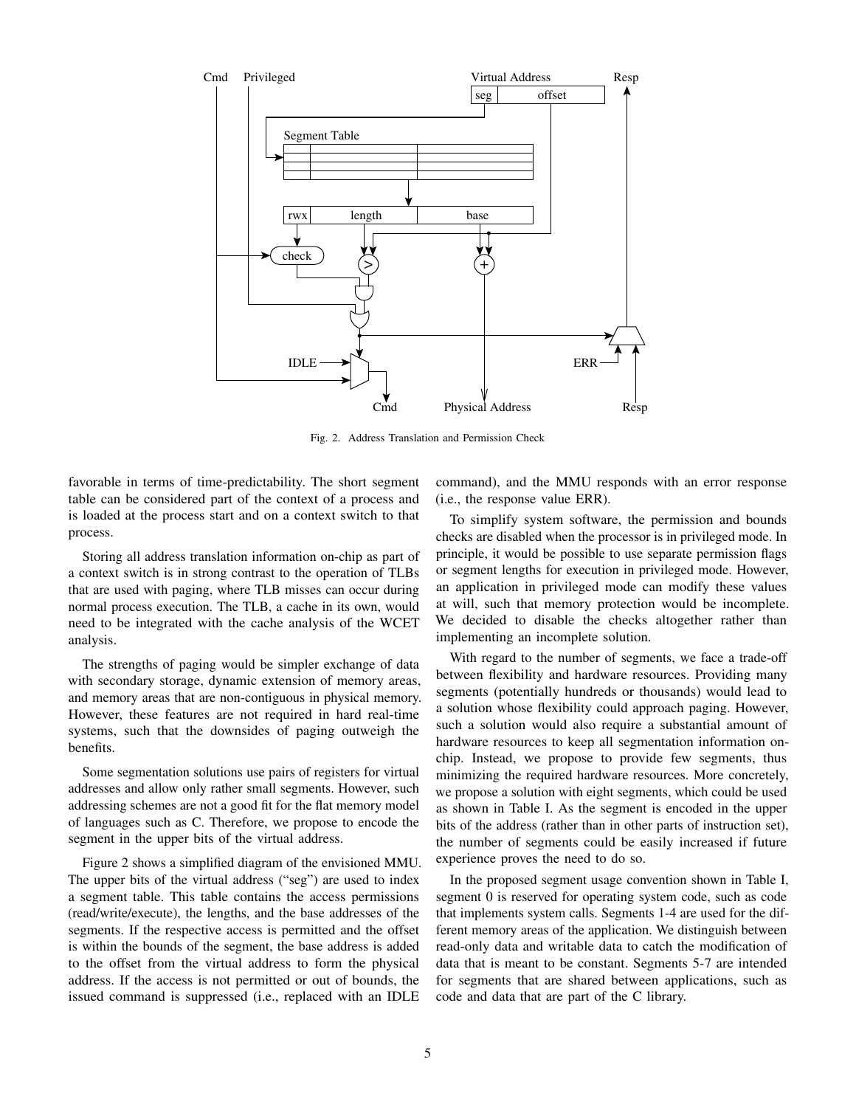

Fig. 2. Address Translation and Permission Check

favorable in terms of time-predictability. The short segment table can be considered part of the context of a process and is loaded at the process start and on a context switch to that process.

Storing all address translation information on-chip as part of a context switch is in strong contrast to the operation of TLBs that are used with paging, where TLB misses can occur during normal process execution. The TLB, a cache in its own, would need to be integrated with the cache analysis of the WCET analysis.

The strengths of paging would be simpler exchange of data with secondary storage, dynamic extension of memory areas, and memory areas that are non-contiguous in physical memory. However, these features are not required in hard real-time systems, such that the downsides of paging outweigh the benefits.

Some segmentation solutions use pairs of registers for virtual addresses and allow only rather small segments. However, such addressing schemes are not a good fit for the flat memory model of languages such as C. Therefore, we propose to encode the segment in the upper bits of the virtual address.

Figure 2 shows a simplified diagram of the envisioned MMU. The upper bits of the virtual address ("seg") are used to index a segment table. This table contains the access permissions (read/write/execute), the lengths, and the base addresses of the segments. If the respective access is permitted and the offset is within the bounds of the segment, the base address is added to the offset from the virtual address to form the physical address. If the access is not permitted or out of bounds, the issued command is suppressed (i.e., replaced with an IDLE

command), and the MMU responds with an error response (i.e., the response value ERR).

To simplify system software, the permission and bounds checks are disabled when the processor is in privileged mode. In principle, it would be possible to use separate permission flags or segment lengths for execution in privileged mode. However, an application in privileged mode can modify these values at will, such that memory protection would be incomplete. We decided to disable the checks altogether rather than implementing an incomplete solution.

With regard to the number of segments, we face a trade-off between flexibility and hardware resources. Providing many segments (potentially hundreds or thousands) would lead to a solution whose flexibility could approach paging. However, such a solution would also require a substantial amount of hardware resources to keep all segmentation information onchip. Instead, we propose to provide few segments, thus minimizing the required hardware resources. More concretely, we propose a solution with eight segments, which could be used as shown in Table I. As the segment is encoded in the upper bits of the address (rather than in other parts of instruction set), the number of segments could be easily increased if future experience proves the need to do so.

In the proposed segment usage convention shown in Table I, segment 0 is reserved for operating system code, such as code that implements system calls. Segments 1-4 are used for the different memory areas of the application. We distinguish between read-only data and writable data to catch the modification of data that is meant to be constant. Segments 5-7 are intended for segments that are shared between applications, such as code and data that are part of the C library.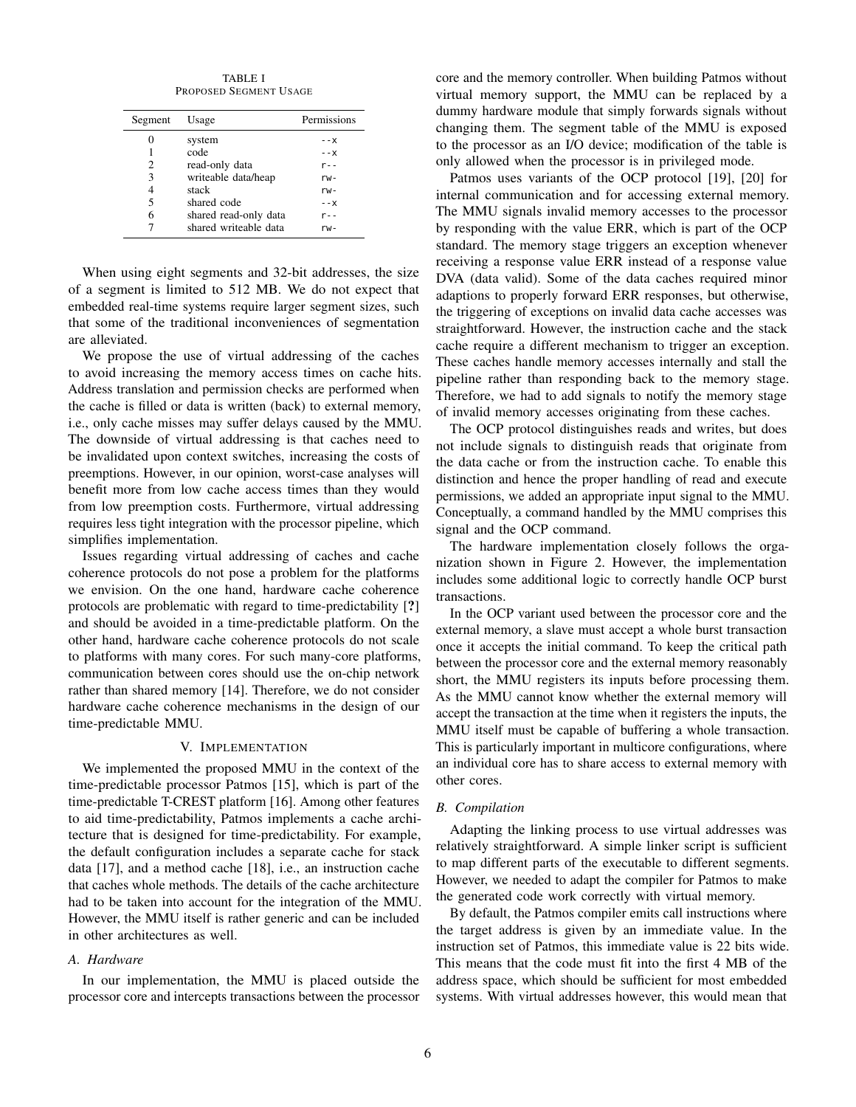TABLE I PROPOSED SEGMENT USAGE

| Segment | Usage                 | Permissions |
|---------|-----------------------|-------------|
| 0       | system                | - - X       |
| 1       | code                  | $- - X$     |
| 2       | read-only data        | $r -$       |
| 3       | writeable data/heap   | $rw -$      |
| 4       | stack                 | $rw -$      |
| 5       | shared code           | - - X       |
| 6       | shared read-only data | $r -$       |
| 7       | shared writeable data | rw-         |

When using eight segments and 32-bit addresses, the size of a segment is limited to 512 MB. We do not expect that embedded real-time systems require larger segment sizes, such that some of the traditional inconveniences of segmentation are alleviated.

We propose the use of virtual addressing of the caches to avoid increasing the memory access times on cache hits. Address translation and permission checks are performed when the cache is filled or data is written (back) to external memory, i.e., only cache misses may suffer delays caused by the MMU. The downside of virtual addressing is that caches need to be invalidated upon context switches, increasing the costs of preemptions. However, in our opinion, worst-case analyses will benefit more from low cache access times than they would from low preemption costs. Furthermore, virtual addressing requires less tight integration with the processor pipeline, which simplifies implementation.

Issues regarding virtual addressing of caches and cache coherence protocols do not pose a problem for the platforms we envision. On the one hand, hardware cache coherence protocols are problematic with regard to time-predictability [?] and should be avoided in a time-predictable platform. On the other hand, hardware cache coherence protocols do not scale to platforms with many cores. For such many-core platforms, communication between cores should use the on-chip network rather than shared memory [14]. Therefore, we do not consider hardware cache coherence mechanisms in the design of our time-predictable MMU.

#### V. IMPLEMENTATION

We implemented the proposed MMU in the context of the time-predictable processor Patmos [15], which is part of the time-predictable T-CREST platform [16]. Among other features to aid time-predictability, Patmos implements a cache architecture that is designed for time-predictability. For example, the default configuration includes a separate cache for stack data [17], and a method cache [18], i.e., an instruction cache that caches whole methods. The details of the cache architecture had to be taken into account for the integration of the MMU. However, the MMU itself is rather generic and can be included in other architectures as well.

## *A. Hardware*

In our implementation, the MMU is placed outside the processor core and intercepts transactions between the processor core and the memory controller. When building Patmos without virtual memory support, the MMU can be replaced by a dummy hardware module that simply forwards signals without changing them. The segment table of the MMU is exposed to the processor as an I/O device; modification of the table is only allowed when the processor is in privileged mode.

Patmos uses variants of the OCP protocol [19], [20] for internal communication and for accessing external memory. The MMU signals invalid memory accesses to the processor by responding with the value ERR, which is part of the OCP standard. The memory stage triggers an exception whenever receiving a response value ERR instead of a response value DVA (data valid). Some of the data caches required minor adaptions to properly forward ERR responses, but otherwise, the triggering of exceptions on invalid data cache accesses was straightforward. However, the instruction cache and the stack cache require a different mechanism to trigger an exception. These caches handle memory accesses internally and stall the pipeline rather than responding back to the memory stage. Therefore, we had to add signals to notify the memory stage of invalid memory accesses originating from these caches.

The OCP protocol distinguishes reads and writes, but does not include signals to distinguish reads that originate from the data cache or from the instruction cache. To enable this distinction and hence the proper handling of read and execute permissions, we added an appropriate input signal to the MMU. Conceptually, a command handled by the MMU comprises this signal and the OCP command.

The hardware implementation closely follows the organization shown in Figure 2. However, the implementation includes some additional logic to correctly handle OCP burst transactions.

In the OCP variant used between the processor core and the external memory, a slave must accept a whole burst transaction once it accepts the initial command. To keep the critical path between the processor core and the external memory reasonably short, the MMU registers its inputs before processing them. As the MMU cannot know whether the external memory will accept the transaction at the time when it registers the inputs, the MMU itself must be capable of buffering a whole transaction. This is particularly important in multicore configurations, where an individual core has to share access to external memory with other cores.

## *B. Compilation*

Adapting the linking process to use virtual addresses was relatively straightforward. A simple linker script is sufficient to map different parts of the executable to different segments. However, we needed to adapt the compiler for Patmos to make the generated code work correctly with virtual memory.

By default, the Patmos compiler emits call instructions where the target address is given by an immediate value. In the instruction set of Patmos, this immediate value is 22 bits wide. This means that the code must fit into the first 4 MB of the address space, which should be sufficient for most embedded systems. With virtual addresses however, this would mean that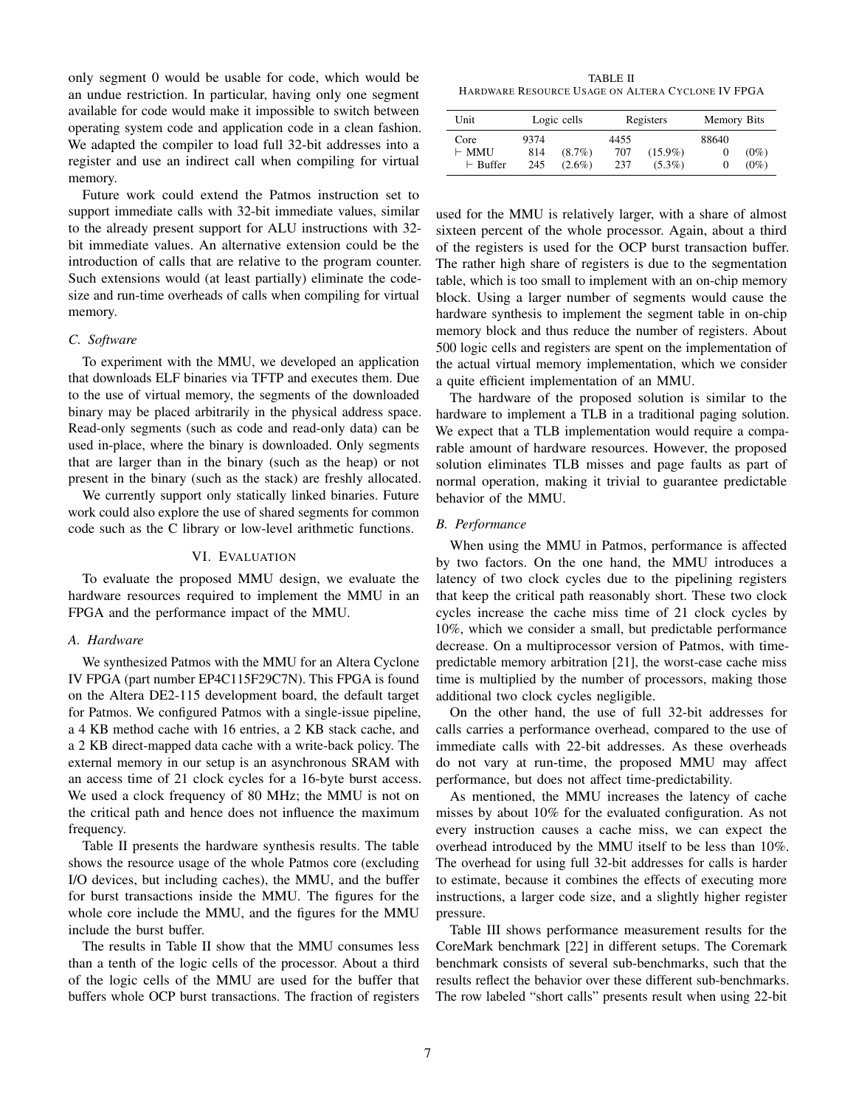only segment 0 would be usable for code, which would be an undue restriction. In particular, having only one segment available for code would make it impossible to switch between operating system code and application code in a clean fashion. We adapted the compiler to load full 32-bit addresses into a register and use an indirect call when compiling for virtual memory.

Future work could extend the Patmos instruction set to support immediate calls with 32-bit immediate values, similar to the already present support for ALU instructions with 32 bit immediate values. An alternative extension could be the introduction of calls that are relative to the program counter. Such extensions would (at least partially) eliminate the codesize and run-time overheads of calls when compiling for virtual memory.

## *C. Software*

To experiment with the MMU, we developed an application that downloads ELF binaries via TFTP and executes them. Due to the use of virtual memory, the segments of the downloaded binary may be placed arbitrarily in the physical address space. Read-only segments (such as code and read-only data) can be used in-place, where the binary is downloaded. Only segments that are larger than in the binary (such as the heap) or not present in the binary (such as the stack) are freshly allocated.

We currently support only statically linked binaries. Future work could also explore the use of shared segments for common code such as the C library or low-level arithmetic functions.

## VI. EVALUATION

To evaluate the proposed MMU design, we evaluate the hardware resources required to implement the MMU in an FPGA and the performance impact of the MMU.

### *A. Hardware*

We synthesized Patmos with the MMU for an Altera Cyclone IV FPGA (part number EP4C115F29C7N). This FPGA is found on the Altera DE2-115 development board, the default target for Patmos. We configured Patmos with a single-issue pipeline, a 4 KB method cache with 16 entries, a 2 KB stack cache, and a 2 KB direct-mapped data cache with a write-back policy. The external memory in our setup is an asynchronous SRAM with an access time of 21 clock cycles for a 16-byte burst access. We used a clock frequency of 80 MHz; the MMU is not on the critical path and hence does not influence the maximum frequency.

Table II presents the hardware synthesis results. The table shows the resource usage of the whole Patmos core (excluding I/O devices, but including caches), the MMU, and the buffer for burst transactions inside the MMU. The figures for the whole core include the MMU, and the figures for the MMU include the burst buffer.

The results in Table II show that the MMU consumes less than a tenth of the logic cells of the processor. About a third of the logic cells of the MMU are used for the buffer that buffers whole OCP burst transactions. The fraction of registers

TABLE II HARDWARE RESOURCE USAGE ON ALTERA CYCLONE IV FPGA

| Unit                                    |                    | Logic cells            |                    | Registers               | <b>Memory Bits</b> |                    |
|-----------------------------------------|--------------------|------------------------|--------------------|-------------------------|--------------------|--------------------|
| Core<br>$\vdash$ MMU<br>$\vdash$ Buffer | 9374<br>814<br>245 | $(8.7\%)$<br>$(2.6\%)$ | 4455<br>707<br>237 | $(15.9\%)$<br>$(5.3\%)$ | 88640              | $(0\%)$<br>$(0\%)$ |

used for the MMU is relatively larger, with a share of almost sixteen percent of the whole processor. Again, about a third of the registers is used for the OCP burst transaction buffer. The rather high share of registers is due to the segmentation table, which is too small to implement with an on-chip memory block. Using a larger number of segments would cause the hardware synthesis to implement the segment table in on-chip memory block and thus reduce the number of registers. About 500 logic cells and registers are spent on the implementation of the actual virtual memory implementation, which we consider a quite efficient implementation of an MMU.

The hardware of the proposed solution is similar to the hardware to implement a TLB in a traditional paging solution. We expect that a TLB implementation would require a comparable amount of hardware resources. However, the proposed solution eliminates TLB misses and page faults as part of normal operation, making it trivial to guarantee predictable behavior of the MMU.

## *B. Performance*

When using the MMU in Patmos, performance is affected by two factors. On the one hand, the MMU introduces a latency of two clock cycles due to the pipelining registers that keep the critical path reasonably short. These two clock cycles increase the cache miss time of 21 clock cycles by 10%, which we consider a small, but predictable performance decrease. On a multiprocessor version of Patmos, with timepredictable memory arbitration [21], the worst-case cache miss time is multiplied by the number of processors, making those additional two clock cycles negligible.

On the other hand, the use of full 32-bit addresses for calls carries a performance overhead, compared to the use of immediate calls with 22-bit addresses. As these overheads do not vary at run-time, the proposed MMU may affect performance, but does not affect time-predictability.

As mentioned, the MMU increases the latency of cache misses by about 10% for the evaluated configuration. As not every instruction causes a cache miss, we can expect the overhead introduced by the MMU itself to be less than 10%. The overhead for using full 32-bit addresses for calls is harder to estimate, because it combines the effects of executing more instructions, a larger code size, and a slightly higher register pressure.

Table III shows performance measurement results for the CoreMark benchmark [22] in different setups. The Coremark benchmark consists of several sub-benchmarks, such that the results reflect the behavior over these different sub-benchmarks. The row labeled "short calls" presents result when using 22-bit